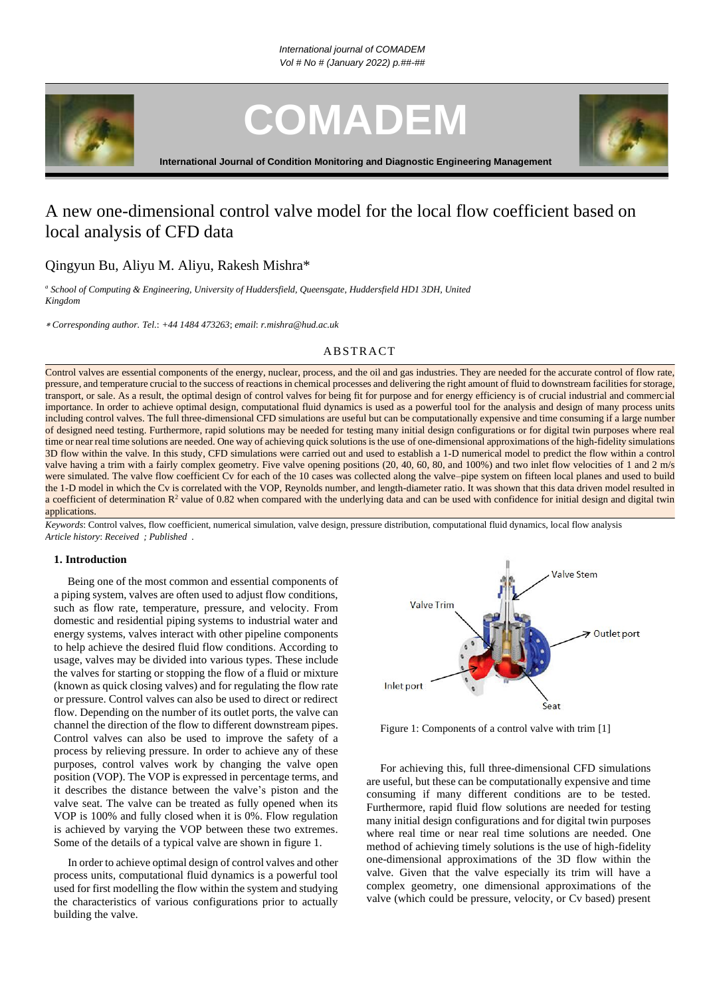

**COMADEM**



**International Journal of Condition Monitoring and Diagnostic Engineering Management**

# A new one-dimensional control valve model for the local flow coefficient based on local analysis of CFD data

# Qingyun Bu, Aliyu M. Aliyu, Rakesh Mishra\*

*<sup>a</sup> School of Computing & Engineering, University of Huddersfield, Queensgate, Huddersfield HD1 3DH, United Kingdom*

*Corresponding author. Tel*.: *+44 1484 473263*; *email*: *r.mishra@hud.ac.uk*

# **ABSTRACT**

Control valves are essential components of the energy, nuclear, process, and the oil and gas industries. They are needed for the accurate control of flow rate, pressure, and temperature crucial to the success of reactions in chemical processes and delivering the right amount of fluid to downstream facilities for storage, transport, or sale. As a result, the optimal design of control valves for being fit for purpose and for energy efficiency is of crucial industrial and commercial importance. In order to achieve optimal design, computational fluid dynamics is used as a powerful tool for the analysis and design of many process units including control valves. The full three-dimensional CFD simulations are useful but can be computationally expensive and time consuming if a large number of designed need testing. Furthermore, rapid solutions may be needed for testing many initial design configurations or for digital twin purposes where real time or near real time solutions are needed. One way of achieving quick solutions is the use of one-dimensional approximations of the high-fidelity simulations 3D flow within the valve. In this study, CFD simulations were carried out and used to establish a 1-D numerical model to predict the flow within a control valve having a trim with a fairly complex geometry. Five valve opening positions (20, 40, 60, 80, and 100%) and two inlet flow velocities of 1 and 2 m/s were simulated. The valve flow coefficient Cv for each of the 10 cases was collected along the valve–pipe system on fifteen local planes and used to build the 1-D model in which the Cv is correlated with the VOP, Reynolds number, and length-diameter ratio. It was shown that this data driven model resulted in a coefficient of determination  $R^2$  value of 0.82 when compared with the underlying data and can be used with confidence for initial design and digital twin applications.

*Keywords*: Control valves, flow coefficient, numerical simulation, valve design, pressure distribution, computational fluid dynamics, local flow analysis *Article history*: *Received ; Published .*

### **1. Introduction**

Being one of the most common and essential components of a piping system, valves are often used to adjust flow conditions, such as flow rate, temperature, pressure, and velocity. From domestic and residential piping systems to industrial water and energy systems, valves interact with other pipeline components to help achieve the desired fluid flow conditions. According to usage, valves may be divided into various types. These include the valves for starting or stopping the flow of a fluid or mixture (known as quick closing valves) and for regulating the flow rate or pressure. Control valves can also be used to direct or redirect flow. Depending on the number of its outlet ports, the valve can channel the direction of the flow to different downstream pipes. Control valves can also be used to improve the safety of a process by relieving pressure. In order to achieve any of these purposes, control valves work by changing the valve open position (VOP). The VOP is expressed in percentage terms, and it describes the distance between the valve's piston and the valve seat. The valve can be treated as fully opened when its VOP is 100% and fully closed when it is 0%. Flow regulation is achieved by varying the VOP between these two extremes. Some of the details of a typical valve are shown in figure 1.

In order to achieve optimal design of control valves and other process units, computational fluid dynamics is a powerful tool used for first modelling the flow within the system and studying the characteristics of various configurations prior to actually building the valve.



Figure 1: Components of a control valve with trim [1]

For achieving this, full three-dimensional CFD simulations are useful, but these can be computationally expensive and time consuming if many different conditions are to be tested. Furthermore, rapid fluid flow solutions are needed for testing many initial design configurations and for digital twin purposes where real time or near real time solutions are needed. One method of achieving timely solutions is the use of high-fidelity one-dimensional approximations of the 3D flow within the valve. Given that the valve especially its trim will have a complex geometry, one dimensional approximations of the valve (which could be pressure, velocity, or Cv based) present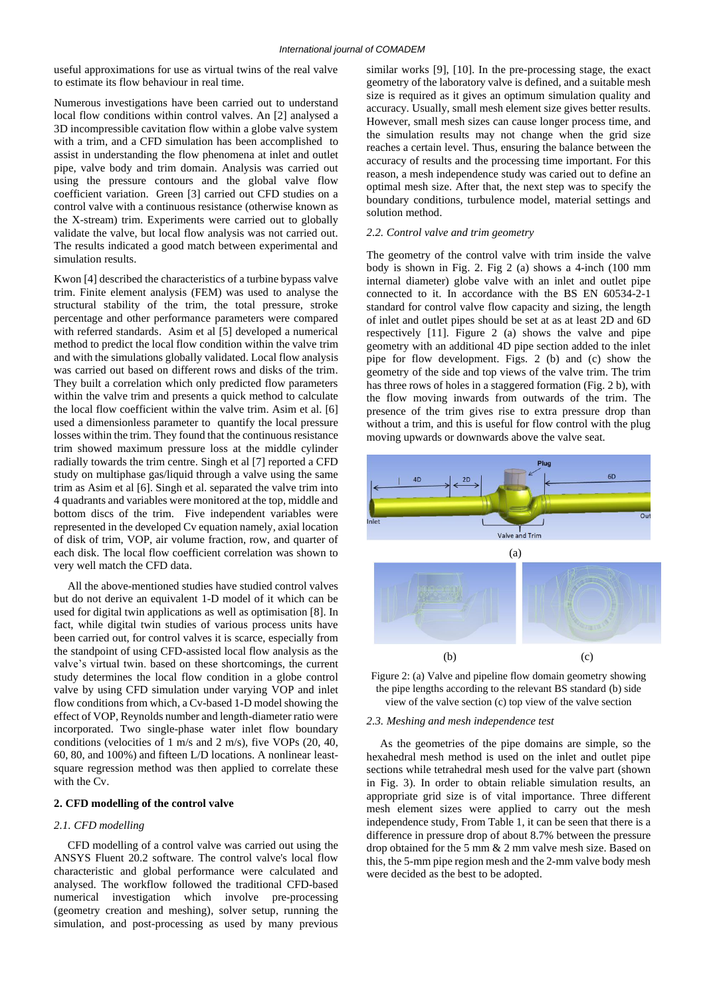useful approximations for use as virtual twins of the real valve to estimate its flow behaviour in real time.

Numerous investigations have been carried out to understand local flow conditions within control valves. An [2] analysed a 3D incompressible cavitation flow within a globe valve system with a trim, and a CFD simulation has been accomplished to assist in understanding the flow phenomena at inlet and outlet pipe, valve body and trim domain. Analysis was carried out using the pressure contours and the global valve flow coefficient variation. Green [3] carried out CFD studies on a control valve with a continuous resistance (otherwise known as the X-stream) trim. Experiments were carried out to globally validate the valve, but local flow analysis was not carried out. The results indicated a good match between experimental and simulation results.

Kwon [4] described the characteristics of a turbine bypass valve trim. Finite element analysis (FEM) was used to analyse the structural stability of the trim, the total pressure, stroke percentage and other performance parameters were compared with referred standards. Asim et al [5] developed a numerical method to predict the local flow condition within the valve trim and with the simulations globally validated. Local flow analysis was carried out based on different rows and disks of the trim. They built a correlation which only predicted flow parameters within the valve trim and presents a quick method to calculate the local flow coefficient within the valve trim. Asim et al. [6] used a dimensionless parameter to quantify the local pressure losses within the trim. They found that the continuous resistance trim showed maximum pressure loss at the middle cylinder radially towards the trim centre. Singh et al [7] reported a CFD study on multiphase gas/liquid through a valve using the same trim as Asim et al [6]. Singh et al. separated the valve trim into 4 quadrants and variables were monitored at the top, middle and bottom discs of the trim. Five independent variables were represented in the developed Cv equation namely, axial location of disk of trim, VOP, air volume fraction, row, and quarter of each disk. The local flow coefficient correlation was shown to very well match the CFD data.

All the above-mentioned studies have studied control valves but do not derive an equivalent 1-D model of it which can be used for digital twin applications as well as optimisation [8]. In fact, while digital twin studies of various process units have been carried out, for control valves it is scarce, especially from the standpoint of using CFD-assisted local flow analysis as the valve's virtual twin. based on these shortcomings, the current study determines the local flow condition in a globe control valve by using CFD simulation under varying VOP and inlet flow conditions from which, a Cv-based 1-D model showing the effect of VOP, Reynolds number and length-diameter ratio were incorporated. Two single-phase water inlet flow boundary conditions (velocities of 1 m/s and 2 m/s), five VOPs (20, 40, 60, 80, and 100%) and fifteen L/D locations. A nonlinear leastsquare regression method was then applied to correlate these with the Cv.

#### **2. CFD modelling of the control valve**

# *2.1. CFD modelling*

CFD modelling of a control valve was carried out using the ANSYS Fluent 20.2 software. The control valve's local flow characteristic and global performance were calculated and analysed. The workflow followed the traditional CFD-based numerical investigation which involve pre-processing (geometry creation and meshing), solver setup, running the simulation, and post-processing as used by many previous

similar works [9], [10]. In the pre-processing stage, the exact geometry of the laboratory valve is defined, and a suitable mesh size is required as it gives an optimum simulation quality and accuracy. Usually, small mesh element size gives better results. However, small mesh sizes can cause longer process time, and the simulation results may not change when the grid size reaches a certain level. Thus, ensuring the balance between the accuracy of results and the processing time important. For this reason, a mesh independence study was caried out to define an optimal mesh size. After that, the next step was to specify the boundary conditions, turbulence model, material settings and solution method.

# *2.2. Control valve and trim geometry*

The geometry of the control valve with trim inside the valve body is shown in Fig. 2. Fig 2 (a) shows a 4-inch (100 mm internal diameter) globe valve with an inlet and outlet pipe connected to it. In accordance with the BS EN 60534-2-1 standard for control valve flow capacity and sizing, the length of inlet and outlet pipes should be set at as at least 2D and 6D respectively [11]. Figure 2 (a) shows the valve and pipe geometry with an additional 4D pipe section added to the inlet pipe for flow development. Figs. 2 (b) and (c) show the geometry of the side and top views of the valve trim. The trim has three rows of holes in a staggered formation (Fig. 2 b), with the flow moving inwards from outwards of the trim. The presence of the trim gives rise to extra pressure drop than without a trim, and this is useful for flow control with the plug moving upwards or downwards above the valve seat.





#### *2.3. Meshing and mesh independence test*

As the geometries of the pipe domains are simple, so the hexahedral mesh method is used on the inlet and outlet pipe sections while tetrahedral mesh used for the valve part (shown in Fig. 3). In order to obtain reliable simulation results, an appropriate grid size is of vital importance. Three different mesh element sizes were applied to carry out the mesh independence study, From Table 1, it can be seen that there is a difference in pressure drop of about 8.7% between the pressure drop obtained for the 5 mm & 2 mm valve mesh size. Based on this, the 5-mm pipe region mesh and the 2-mm valve body mesh were decided as the best to be adopted.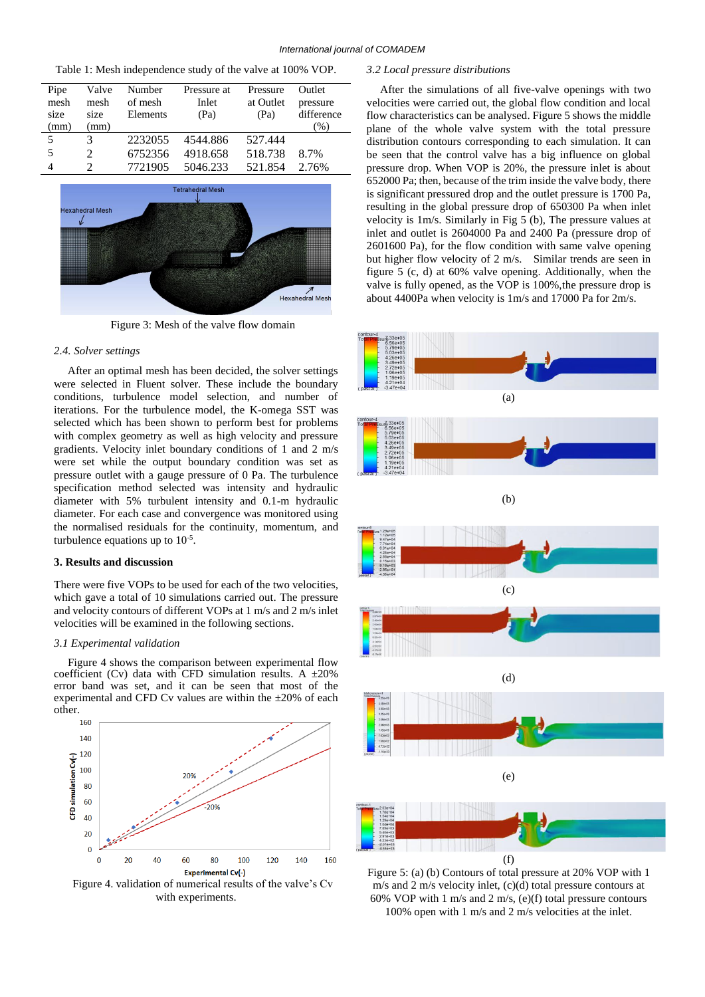| Table 1: Mesh independence study of the valve at 100% VOP. |  |  |
|------------------------------------------------------------|--|--|
|------------------------------------------------------------|--|--|

| Pipe<br>mesh<br>size | Valve<br>mesh<br>size       | Number<br>of mesh<br>Elements | Pressure at<br>Inlet<br>(Pa) | Pressure<br>at Outlet<br>(Pa) | Outlet<br>pressure<br>difference |
|----------------------|-----------------------------|-------------------------------|------------------------------|-------------------------------|----------------------------------|
| (mm)                 | (mm)                        |                               |                              |                               | $(\%)$                           |
| 5                    |                             | 2232055                       | 4544.886                     | 527.444                       |                                  |
| 5                    | $\mathcal{D}_{\mathcal{L}}$ | 6752356                       | 4918.658                     | 518.738                       | 8.7%                             |
| 4                    | C                           | 7721905                       | 5046.233                     | 521.854                       | 2.76%                            |



Figure 3: Mesh of the valve flow domain

#### *2.4. Solver settings*

After an optimal mesh has been decided, the solver settings were selected in Fluent solver. These include the boundary conditions, turbulence model selection, and number of iterations. For the turbulence model, the K-omega SST was selected which has been shown to perform best for problems with complex geometry as well as high velocity and pressure gradients. Velocity inlet boundary conditions of 1 and 2 m/s were set while the output boundary condition was set as pressure outlet with a gauge pressure of 0 Pa. The turbulence specification method selected was intensity and hydraulic diameter with 5% turbulent intensity and 0.1-m hydraulic diameter. For each case and convergence was monitored using the normalised residuals for the continuity, momentum, and turbulence equations up to  $10^{-5}$ .

# **3. Results and discussion**

There were five VOPs to be used for each of the two velocities, which gave a total of 10 simulations carried out. The pressure and velocity contours of different VOPs at 1 m/s and 2 m/s inlet velocities will be examined in the following sections.

#### *3.1 Experimental validation*

Figure 4 shows the comparison between experimental flow coefficient (Cv) data with CFD simulation results. A  $\pm 20\%$ error band was set, and it can be seen that most of the experimental and CFD Cv values are within the  $\pm 20\%$  of each other.



Figure 4. validation of numerical results of the valve's Cv with experiments.

#### *3.2 Local pressure distributions*

After the simulations of all five-valve openings with two velocities were carried out, the global flow condition and local flow characteristics can be analysed. Figure 5 shows the middle plane of the whole valve system with the total pressure distribution contours corresponding to each simulation. It can be seen that the control valve has a big influence on global pressure drop. When VOP is 20%, the pressure inlet is about 652000 Pa; then, because of the trim inside the valve body, there is significant pressured drop and the outlet pressure is 1700 Pa, resulting in the global pressure drop of 650300 Pa when inlet velocity is 1m/s. Similarly in Fig 5 (b), The pressure values at inlet and outlet is 2604000 Pa and 2400 Pa (pressure drop of 2601600 Pa), for the flow condition with same valve opening but higher flow velocity of 2 m/s. Similar trends are seen in figure 5 (c, d) at 60% valve opening. Additionally, when the valve is fully opened, as the VOP is 100%,the pressure drop is about 4400Pa when velocity is 1m/s and 17000 Pa for 2m/s.



Figure 5: (a) (b) Contours of total pressure at 20% VOP with 1 m/s and 2 m/s velocity inlet, (c)(d) total pressure contours at 60% VOP with 1 m/s and 2 m/s, (e)(f) total pressure contours 100% open with 1 m/s and 2 m/s velocities at the inlet.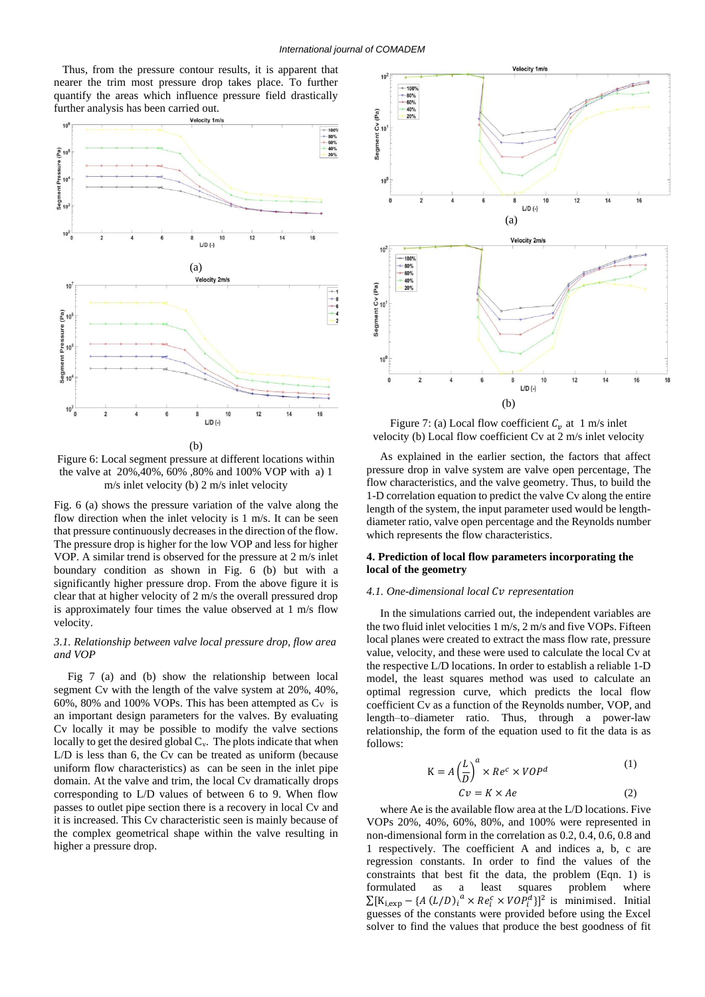Thus, from the pressure contour results, it is apparent that nearer the trim most pressure drop takes place. To further quantify the areas which influence pressure field drastically further analysis has been carried out.



(b) Figure 6: Local segment pressure at different locations within the valve at 20%,40%, 60% ,80% and 100% VOP with a) 1 m/s inlet velocity (b) 2 m/s inlet velocity

Fig. 6 (a) shows the pressure variation of the valve along the flow direction when the inlet velocity is 1 m/s. It can be seen that pressure continuously decreases in the direction of the flow. The pressure drop is higher for the low VOP and less for higher VOP. A similar trend is observed for the pressure at 2 m/s inlet boundary condition as shown in Fig. 6 (b) but with a significantly higher pressure drop. From the above figure it is clear that at higher velocity of 2 m/s the overall pressured drop is approximately four times the value observed at 1 m/s flow velocity.

# *3.1. Relationship between valve local pressure drop, flow area and VOP*

Fig 7 (a) and (b) show the relationship between local segment Cv with the length of the valve system at 20%, 40%, 60%, 80% and 100% VOPs. This has been attempted as  $C_V$  is an important design parameters for the valves. By evaluating Cv locally it may be possible to modify the valve sections locally to get the desired global  $C_v$ . The plots indicate that when L/D is less than 6, the Cv can be treated as uniform (because uniform flow characteristics) as can be seen in the inlet pipe domain. At the valve and trim, the local Cv dramatically drops corresponding to L/D values of between 6 to 9. When flow passes to outlet pipe section there is a recovery in local Cv and it is increased. This Cv characteristic seen is mainly because of the complex geometrical shape within the valve resulting in higher a pressure drop.



Figure 7: (a) Local flow coefficient  $C_v$  at 1 m/s inlet velocity (b) Local flow coefficient Cv at 2 m/s inlet velocity

As explained in the earlier section, the factors that affect pressure drop in valve system are valve open percentage, The flow characteristics, and the valve geometry. Thus, to build the 1-D correlation equation to predict the valve Cv along the entire length of the system, the input parameter used would be lengthdiameter ratio, valve open percentage and the Reynolds number which represents the flow characteristics.

#### **4. Prediction of local flow parameters incorporating the local of the geometry**

# *4.1. One-dimensional local representation*

In the simulations carried out, the independent variables are the two fluid inlet velocities 1 m/s, 2 m/s and five VOPs. Fifteen local planes were created to extract the mass flow rate, pressure value, velocity, and these were used to calculate the local Cv at the respective L/D locations. In order to establish a reliable 1-D model, the least squares method was used to calculate an optimal regression curve, which predicts the local flow coefficient Cv as a function of the Reynolds number, VOP, and length–to–diameter ratio. Thus, through a power-law relationship, the form of the equation used to fit the data is as follows:

$$
K = A \left(\frac{L}{D}\right)^{a} \times Re^{c} \times VOP^{d}
$$
\n
$$
Cv = K \times Ae
$$
\n(1)\n(2)

where Ae is the available flow area at the L/D locations. Five VOPs 20%, 40%, 60%, 80%, and 100% were represented in non-dimensional form in the correlation as 0.2, 0.4, 0.6, 0.8 and 1 respectively. The coefficient A and indices a, b, c are regression constants. In order to find the values of the constraints that best fit the data, the problem (Eqn. 1) is formulated as a least squares problem where  $\sum [K_{i,exp} - \{A(L/D)\}^a \times Re_i^c \times VOP_i^d\}]^2$  is minimised. Initial guesses of the constants were provided before using the Excel solver to find the values that produce the best goodness of fit